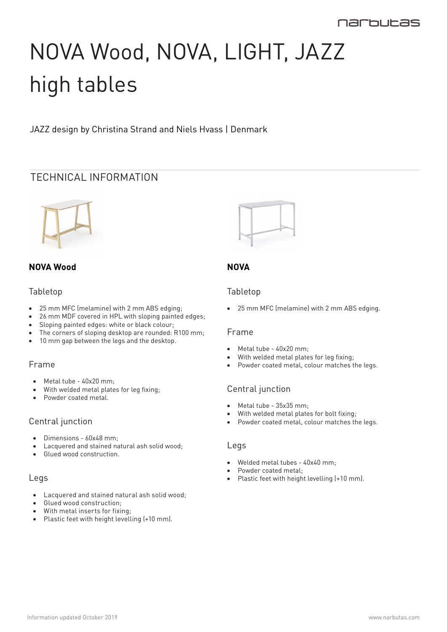# NOVA Wood, NOVA, LIGHT, JAZZ high tables

JAZZ design by Christina Strand and Niels Hvass | Denmark

# TECHNICAL INFORMATION



# **NOVA Wood**

#### Tabletop

- 25 mm MFC (melamine) with 2 mm ABS edging;
- 26 mm MDF covered in HPL with sloping painted edges;
- Sloping painted edges: white or black colour;
- The corners of sloping desktop are rounded: R100 mm;
- 10 mm gap between the legs and the desktop.

# Frame

- Metal tube 40x20 mm;
- With welded metal plates for leg fixing;
- Powder coated metal.

#### Central junction

- • Dimensions 60x48 mm;
- Lacquered and stained natural ash solid wood;
- • Glued wood construction.

#### Legs

- Lacquered and stained natural ash solid wood;
- • Glued wood construction;
- • With metal inserts for fixing;
- • Plastic feet with height levelling (+10 mm).



# **NOVA**

## Tabletop

• 25 mm MFC (melamine) with 2 mm ABS edging.

#### Frame

- Metal tube 40x20 mm;
- With welded metal plates for leg fixing;
- Powder coated metal, colour matches the legs.

# Central junction

- • Metal tube 35x35 mm;
- With welded metal plates for bolt fixing;
- Powder coated metal, colour matches the legs.

#### Legs

- Welded metal tubes 40x40 mm;
- Powder coated metal:
- Plastic feet with height levelling (+10 mm).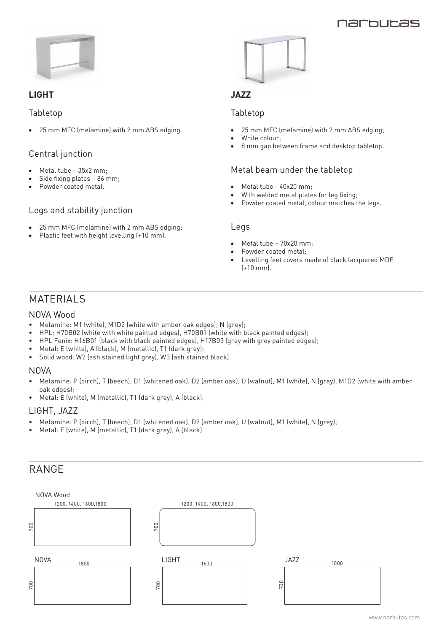## narhuras



## **LIGHT**

#### Tabletop

25 mm MFC (melamine) with 2 mm ABS edging.

## Central junction

- Metal tube  $-35x2$  mm:
- Side fixing plates  $-86$  mm;
- Powder coated metal.

#### Legs and stability junction

- 25 mm MFC (melamine) with 2 mm ABS edging;
- Plastic feet with height levelling (+10 mm).



# **JAZZ**

#### Tabletop

- 25 mm MFC (melamine) with 2 mm ABS edging;
- White colour:
- 8 mm gap between frame and desktop tabletop.

#### Metal beam under the tabletop

- Metal tube 40x20 mm;
- With welded metal plates for leg fixing;
- Powder coated metal, colour matches the legs.

#### Legs

- Metal tube  $70x20$  mm;
- Powder coated metal:
- Levelling feet covers made of black lacquered MDF (+10 mm).

# **MATERIALS**

#### NOVA Wood

- Melamine: M1 (white), M1D2 (white with amber oak edges); N (grey);
- HPL: H70B02 (white with white painted edges), H70B01 (white with black painted edges);
- HPL Fenix: H16B01 (black with black painted edges), H17B03 (grey with grey painted edges);
- Metal: E (white), A (black), M (metallic), T1 (dark grey);
- Solid wood: W2 (ash stained light grey), W3 (ash stained black).

#### NOVA

- Melamine: P (birch), T (beech), D1 (whitened oak), D2 (amber oak), U (walnut), M1 (white), N (grey), M1D2 (white with amber oak edges);
- Metal: E (white), M (metallic), T1 (dark grey), A (black).

#### LIGHT, JAZZ

- Melamine: P (birch), T (beech), D1 (whitened oak), D2 (amber oak), U (walnut), M1 (white), N (grey);
- Metal: E (white), M (metallic), T1 (dark grey), A (black).

# RANGE